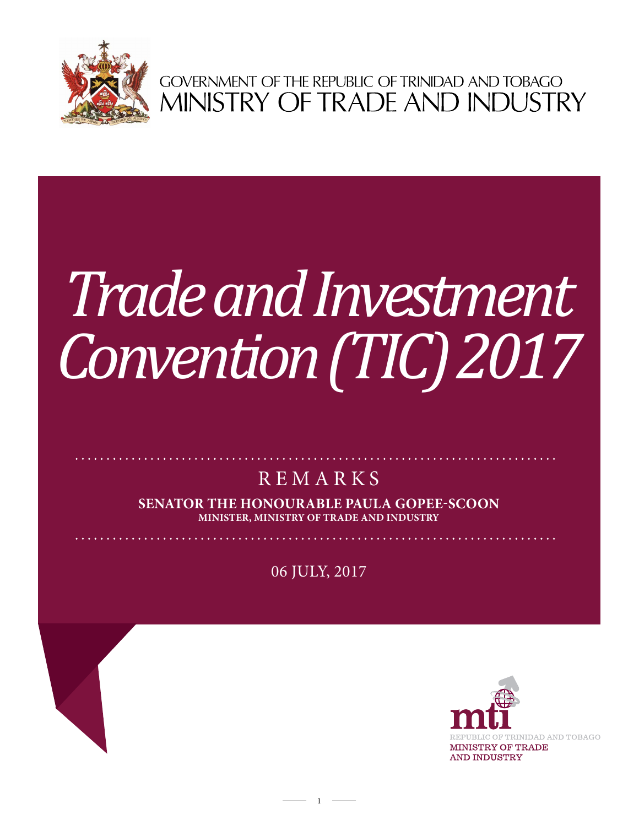

GOVERNMENT OF THE REPUBLIC OF TRINIDAD AND TOBAGO<br>MINISTRY OF TRADE AND INDUSTRY

# **CHAGUANAS CHAMBER OF**  *Trade and Investment Convention (TIC) 2017*

# **REMARKS**

**Senator the Honourable Paula Gopee-Scoon Minister, Ministry of Trade and Industry**

06 July, 2017

 $1 -$ 

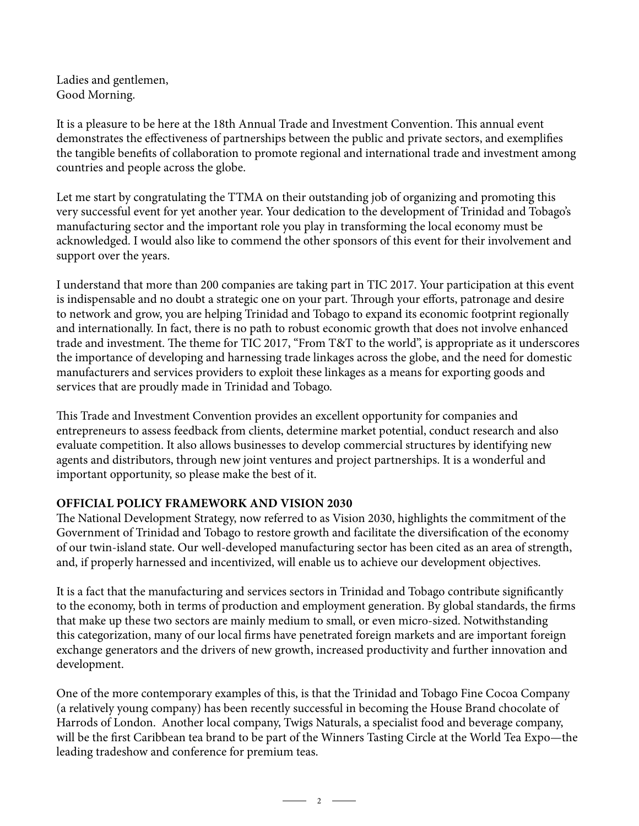Ladies and gentlemen, Good Morning.

It is a pleasure to be here at the 18th Annual Trade and Investment Convention. This annual event demonstrates the effectiveness of partnerships between the public and private sectors, and exemplifies the tangible benefits of collaboration to promote regional and international trade and investment among countries and people across the globe.

Let me start by congratulating the TTMA on their outstanding job of organizing and promoting this very successful event for yet another year. Your dedication to the development of Trinidad and Tobago's manufacturing sector and the important role you play in transforming the local economy must be acknowledged. I would also like to commend the other sponsors of this event for their involvement and support over the years.

I understand that more than 200 companies are taking part in TIC 2017. Your participation at this event is indispensable and no doubt a strategic one on your part. Through your efforts, patronage and desire to network and grow, you are helping Trinidad and Tobago to expand its economic footprint regionally and internationally. In fact, there is no path to robust economic growth that does not involve enhanced trade and investment. The theme for TIC 2017, "From T&T to the world", is appropriate as it underscores the importance of developing and harnessing trade linkages across the globe, and the need for domestic manufacturers and services providers to exploit these linkages as a means for exporting goods and services that are proudly made in Trinidad and Tobago.

This Trade and Investment Convention provides an excellent opportunity for companies and entrepreneurs to assess feedback from clients, determine market potential, conduct research and also evaluate competition. It also allows businesses to develop commercial structures by identifying new agents and distributors, through new joint ventures and project partnerships. It is a wonderful and important opportunity, so please make the best of it.

# **OFFICIAL POLICY FRAMEWORK AND VISION 2030**

The National Development Strategy, now referred to as Vision 2030, highlights the commitment of the Government of Trinidad and Tobago to restore growth and facilitate the diversification of the economy of our twin-island state. Our well-developed manufacturing sector has been cited as an area of strength, and, if properly harnessed and incentivized, will enable us to achieve our development objectives.

It is a fact that the manufacturing and services sectors in Trinidad and Tobago contribute significantly to the economy, both in terms of production and employment generation. By global standards, the firms that make up these two sectors are mainly medium to small, or even micro-sized. Notwithstanding this categorization, many of our local firms have penetrated foreign markets and are important foreign exchange generators and the drivers of new growth, increased productivity and further innovation and development.

One of the more contemporary examples of this, is that the Trinidad and Tobago Fine Cocoa Company (a relatively young company) has been recently successful in becoming the House Brand chocolate of Harrods of London. Another local company, Twigs Naturals, a specialist food and beverage company, will be the first Caribbean tea brand to be part of the Winners Tasting Circle at the World Tea Expo—the leading tradeshow and conference for premium teas.

 $\overline{\phantom{a}}$  2  $\overline{\phantom{a}}$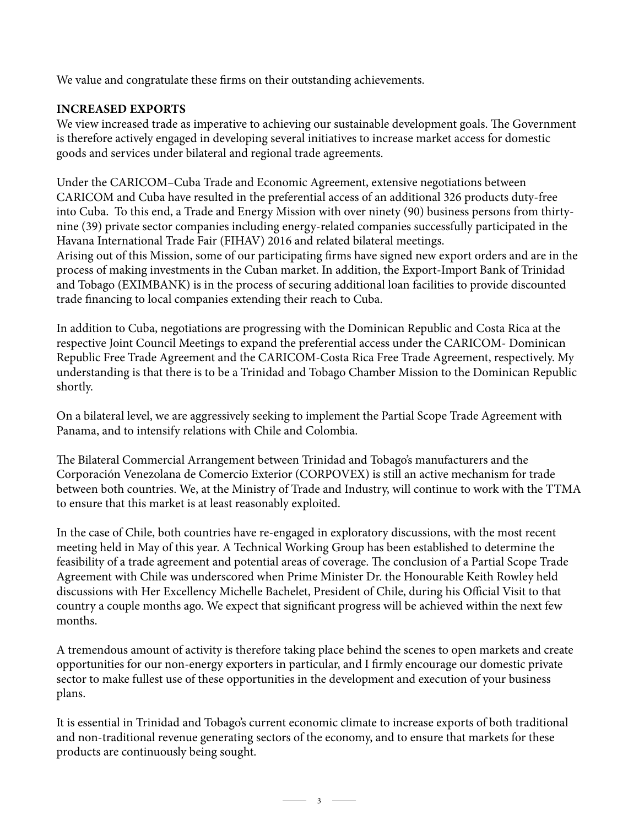We value and congratulate these firms on their outstanding achievements.

# **INCREASED EXPORTS**

We view increased trade as imperative to achieving our sustainable development goals. The Government is therefore actively engaged in developing several initiatives to increase market access for domestic goods and services under bilateral and regional trade agreements.

Under the CARICOM–Cuba Trade and Economic Agreement, extensive negotiations between CARICOM and Cuba have resulted in the preferential access of an additional 326 products duty-free into Cuba. To this end, a Trade and Energy Mission with over ninety (90) business persons from thirtynine (39) private sector companies including energy-related companies successfully participated in the Havana International Trade Fair (FIHAV) 2016 and related bilateral meetings. Arising out of this Mission, some of our participating firms have signed new export orders and are in the process of making investments in the Cuban market. In addition, the Export-Import Bank of Trinidad and Tobago (EXIMBANK) is in the process of securing additional loan facilities to provide discounted trade financing to local companies extending their reach to Cuba.

In addition to Cuba, negotiations are progressing with the Dominican Republic and Costa Rica at the respective Joint Council Meetings to expand the preferential access under the CARICOM- Dominican Republic Free Trade Agreement and the CARICOM-Costa Rica Free Trade Agreement, respectively. My understanding is that there is to be a Trinidad and Tobago Chamber Mission to the Dominican Republic shortly.

On a bilateral level, we are aggressively seeking to implement the Partial Scope Trade Agreement with Panama, and to intensify relations with Chile and Colombia.

The Bilateral Commercial Arrangement between Trinidad and Tobago's manufacturers and the Corporación Venezolana de Comercio Exterior (CORPOVEX) is still an active mechanism for trade between both countries. We, at the Ministry of Trade and Industry, will continue to work with the TTMA to ensure that this market is at least reasonably exploited.

In the case of Chile, both countries have re-engaged in exploratory discussions, with the most recent meeting held in May of this year. A Technical Working Group has been established to determine the feasibility of a trade agreement and potential areas of coverage. The conclusion of a Partial Scope Trade Agreement with Chile was underscored when Prime Minister Dr. the Honourable Keith Rowley held discussions with Her Excellency Michelle Bachelet, President of Chile, during his Official Visit to that country a couple months ago. We expect that significant progress will be achieved within the next few months.

A tremendous amount of activity is therefore taking place behind the scenes to open markets and create opportunities for our non-energy exporters in particular, and I firmly encourage our domestic private sector to make fullest use of these opportunities in the development and execution of your business plans.

It is essential in Trinidad and Tobago's current economic climate to increase exports of both traditional and non-traditional revenue generating sectors of the economy, and to ensure that markets for these products are continuously being sought.

 $\overline{\phantom{1}}$  3  $\overline{\phantom{1}}$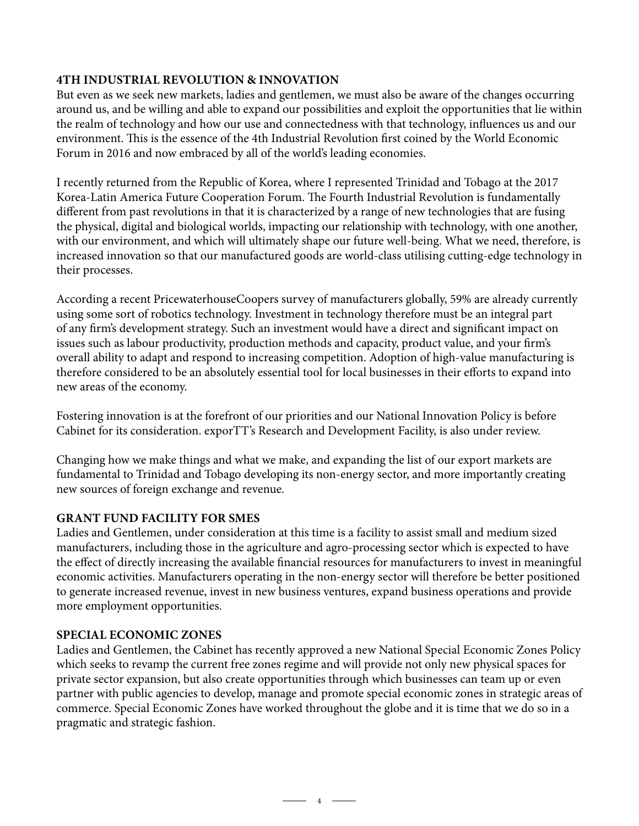# **4TH INDUSTRIAL REVOLUTION & INNOVATION**

But even as we seek new markets, ladies and gentlemen, we must also be aware of the changes occurring around us, and be willing and able to expand our possibilities and exploit the opportunities that lie within the realm of technology and how our use and connectedness with that technology, influences us and our environment. This is the essence of the 4th Industrial Revolution first coined by the World Economic Forum in 2016 and now embraced by all of the world's leading economies.

I recently returned from the Republic of Korea, where I represented Trinidad and Tobago at the 2017 Korea-Latin America Future Cooperation Forum. The Fourth Industrial Revolution is fundamentally different from past revolutions in that it is characterized by a range of new technologies that are fusing the physical, digital and biological worlds, impacting our relationship with technology, with one another, with our environment, and which will ultimately shape our future well-being. What we need, therefore, is increased innovation so that our manufactured goods are world-class utilising cutting-edge technology in their processes.

According a recent PricewaterhouseCoopers survey of manufacturers globally, 59% are already currently using some sort of robotics technology. Investment in technology therefore must be an integral part of any firm's development strategy. Such an investment would have a direct and significant impact on issues such as labour productivity, production methods and capacity, product value, and your firm's overall ability to adapt and respond to increasing competition. Adoption of high-value manufacturing is therefore considered to be an absolutely essential tool for local businesses in their efforts to expand into new areas of the economy.

Fostering innovation is at the forefront of our priorities and our National Innovation Policy is before Cabinet for its consideration. exporTT's Research and Development Facility, is also under review.

Changing how we make things and what we make, and expanding the list of our export markets are fundamental to Trinidad and Tobago developing its non-energy sector, and more importantly creating new sources of foreign exchange and revenue.

# **GRANT FUND FACILITY FOR SMEs**

Ladies and Gentlemen, under consideration at this time is a facility to assist small and medium sized manufacturers, including those in the agriculture and agro-processing sector which is expected to have the effect of directly increasing the available financial resources for manufacturers to invest in meaningful economic activities. Manufacturers operating in the non-energy sector will therefore be better positioned to generate increased revenue, invest in new business ventures, expand business operations and provide more employment opportunities.

#### **SPECIAL ECONOMIC ZONES**

Ladies and Gentlemen, the Cabinet has recently approved a new National Special Economic Zones Policy which seeks to revamp the current free zones regime and will provide not only new physical spaces for private sector expansion, but also create opportunities through which businesses can team up or even partner with public agencies to develop, manage and promote special economic zones in strategic areas of commerce. Special Economic Zones have worked throughout the globe and it is time that we do so in a pragmatic and strategic fashion.

 $-$  4  $-$